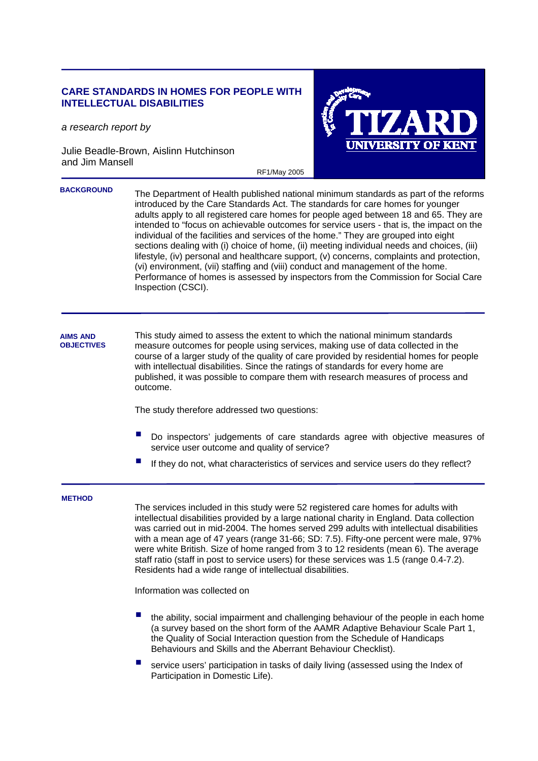## **CARE STANDARDS IN HOMES FOR PEOPLE WITH INTELLECTUAL DISABILITIES**

*a research report by* 

Julie Beadle-Brown, Aislinn Hutchinson and Jim Mansell



Ī The Department of Health published national minimum standards as part of the reforms introduced by the Care Standards Act. The standards for care homes for younger adults apply to all registered care homes for people aged between 18 and 65. They are intended to "focus on achievable outcomes for service users - that is, the impact on the individual of the facilities and services of the home." They are grouped into eight sections dealing with (i) choice of home, (ii) meeting individual needs and choices, (iii) lifestyle, (iv) personal and healthcare support, (v) concerns, complaints and protection, (vi) environment, (vii) staffing and (viii) conduct and management of the home. Performance of homes is assessed by inspectors from the Commission for Social Care Inspection (CSCI). **BACKGROUND**

RF1/May 2005

## This study aimed to assess the extent to which the national minimum standards measure outcomes for people using services, making use of data collected in the course of a larger study of the quality of care provided by residential homes for people with intellectual disabilities. Since the ratings of standards for every home are published, it was possible to compare them with research measures of process and outcome. **AIMS AND OBJECTIVES**

The study therefore addressed two questions:

- Do inspectors' judgements of care standards agree with objective measures of service user outcome and quality of service?
- If they do not, what characteristics of services and service users do they reflect?

## **METHOD**

The services included in this study were 52 registered care homes for adults with intellectual disabilities provided by a large national charity in England. Data collection was carried out in mid-2004. The homes served 299 adults with intellectual disabilities with a mean age of 47 years (range 31-66; SD: 7.5). Fifty-one percent were male, 97% were white British. Size of home ranged from 3 to 12 residents (mean 6). The average staff ratio (staff in post to service users) for these services was 1.5 (range 0.4-7.2). Residents had a wide range of intellectual disabilities.

Information was collected on

- the ability, social impairment and challenging behaviour of the people in each home (a survey based on the short form of the AAMR Adaptive Behaviour Scale Part 1, the Quality of Social Interaction question from the Schedule of Handicaps Behaviours and Skills and the Aberrant Behaviour Checklist).
- service users' participation in tasks of daily living (assessed using the Index of Participation in Domestic Life).